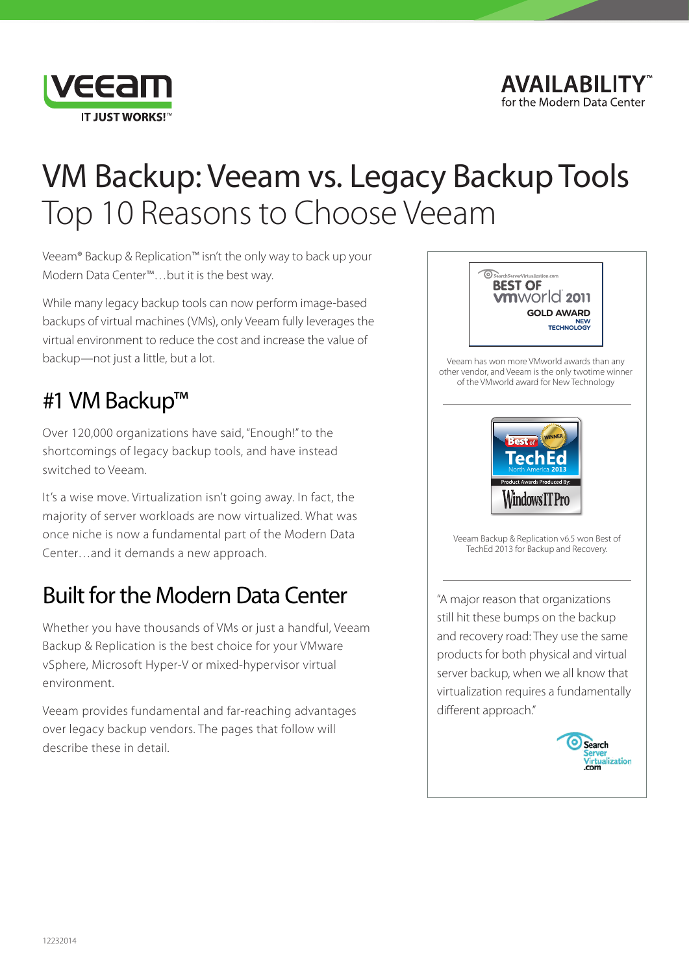

### AVAII ARII ITY for the Modern Data Center

# VM Backup: Veeam vs. Legacy Backup Tools Top 10 Reasons to Choose Veeam

Veeam® Backup & Replication™ isn't the only way to back up your Modern Data Center™…but it is the best way.

While many legacy backup tools can now perform image-based backups of virtual machines (VMs), only Veeam fully leverages the virtual environment to reduce the cost and increase the value of backup—not just a little, but a lot.

## #1 VM Backup™

Over 120,000 organizations have said, "Enough!" to the shortcomings of legacy backup tools, and have instead switched to Veeam.

It's a wise move. Virtualization isn't going away. In fact, the majority of server workloads are now virtualized. What was once niche is now a fundamental part of the Modern Data Center…and it demands a new approach.

## Built for the Modern Data Center

Whether you have thousands of VMs or just a handful, Veeam Backup & Replication is the best choice for your VMware vSphere, Microsoft Hyper-V or mixed-hypervisor virtual environment.

Veeam provides fundamental and far-reaching advantages over legacy backup vendors. The pages that follow will describe these in detail.



Veeam has won more VMworld awards than any [other vendor, and Veeam is the only twotime winner](http://www.veeam.com/awards.html)  of the VMworld award for New Technology



Veeam Backup & Replication v6.5 won Best of TechEd 2013 for Backup and Recovery.

"A major reason that organizations still hit these bumps on the backup and recovery road: They use the same products for both physical and virtual server backup, when we all know that virtualization requires a fundamentally different approach."

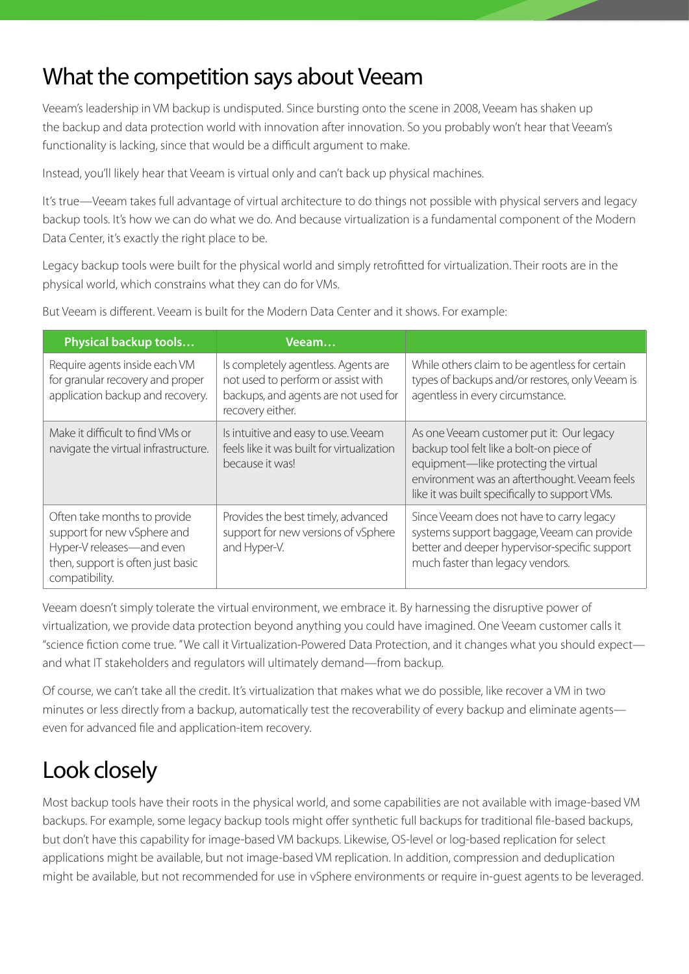## What the competition says about Veeam

Veeam's leadership in VM backup is undisputed. Since bursting onto the scene in 2008, Veeam has shaken up the backup and data protection world with innovation after innovation. So you probably won't hear that Veeam's functionality is lacking, since that would be a difficult argument to make.

Instead, you'll likely hear that Veeam is virtual only and can't back up physical machines.

It's true—Veeam takes full advantage of virtual architecture to do things not possible with physical servers and legacy backup tools. It's how we can do what we do. And because virtualization is a fundamental component of the Modern Data Center, it's exactly the right place to be.

Legacy backup tools were built for the physical world and simply retrofitted for virtualization. Their roots are in the physical world, which constrains what they can do for VMs.

| Physical backup tools                                                                                                                           | Veeam                                                                                                                                 |                                                                                                                                                                                                                                 |
|-------------------------------------------------------------------------------------------------------------------------------------------------|---------------------------------------------------------------------------------------------------------------------------------------|---------------------------------------------------------------------------------------------------------------------------------------------------------------------------------------------------------------------------------|
| Require agents inside each VM<br>for granular recovery and proper<br>application backup and recovery.                                           | Is completely agentless. Agents are<br>not used to perform or assist with<br>backups, and agents are not used for<br>recovery either. | While others claim to be agentless for certain<br>types of backups and/or restores, only Veeam is<br>agentless in every circumstance.                                                                                           |
| Make it difficult to find VMs or<br>navigate the virtual infrastructure.                                                                        | Is intuitive and easy to use. Veeam<br>feels like it was built for virtualization<br>because it was!                                  | As one Veeam customer put it: Our legacy<br>backup tool felt like a bolt-on piece of<br>equipment-like protecting the virtual<br>environment was an afterthought. Veeam feels<br>like it was built specifically to support VMs. |
| Often take months to provide<br>support for new vSphere and<br>Hyper-V releases-and even<br>then, support is often just basic<br>compatibility. | Provides the best timely, advanced<br>support for new versions of vSphere<br>and Hyper-V.                                             | Since Veeam does not have to carry legacy<br>systems support baggage, Veeam can provide<br>better and deeper hypervisor-specific support<br>much faster than legacy vendors.                                                    |

But Veeam is different. Veeam is built for the Modern Data Center and it shows. For example:

Veeam doesn't simply tolerate the virtual environment, we embrace it. By harnessing the disruptive power of virtualization, we provide data protection beyond anything you could have imagined. One Veeam customer calls it "science fiction come true. " We call it Virtualization-Powered Data Protection, and it changes what you should expect and what IT stakeholders and regulators will ultimately demand—from backup.

Of course, we can't take all the credit. It's virtualization that makes what we do possible, like recover a VM in two minutes or less directly from a backup, automatically test the recoverability of every backup and eliminate agents even for advanced file and application-item recovery.

## Look closely

Most backup tools have their roots in the physical world, and some capabilities are not available with image-based VM backups. For example, some legacy backup tools might offer synthetic full backups for traditional file-based backups, but don't have this capability for image-based VM backups. Likewise, OS-level or log-based replication for select applications might be available, but not image-based VM replication. In addition, compression and deduplication might be available, but not recommended for use in vSphere environments or require in-guest agents to be leveraged.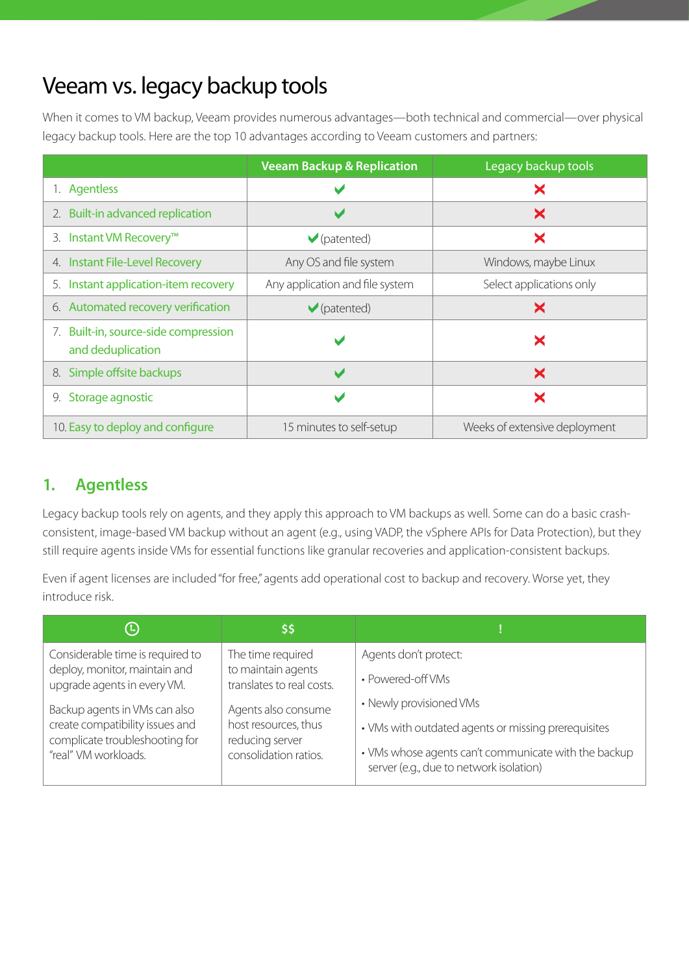## Veeam vs. legacy backup tools

When it comes to VM backup, Veeam provides numerous advantages—both technical and commercial—over physical legacy backup tools. Here are the top 10 advantages according to Veeam customers and partners:

<span id="page-2-1"></span>

|                                                           | <b>Veeam Backup &amp; Replication</b> | Legacy backup tools           |
|-----------------------------------------------------------|---------------------------------------|-------------------------------|
| 1. Agentless                                              | v                                     | X                             |
| 2. Built-in advanced replication                          | V                                     | ×                             |
| 3. Instant VM Recovery™                                   | $\blacktriangleright$ (patented)      | ×                             |
| 4. Instant File-Level Recovery                            | Any OS and file system                | Windows, maybe Linux          |
| 5. Instant application-item recovery                      | Any application and file system       | Select applications only      |
| 6. Automated recovery verification                        | $\blacktriangledown$ (patented)       | ×                             |
| 7. Built-in, source-side compression<br>and deduplication | M                                     | ×                             |
| 8. Simple offsite backups                                 | $\blacktriangleright$                 | ×                             |
| Storage agnostic<br>9.                                    | V                                     | X                             |
| 10. Easy to deploy and configure                          | 15 minutes to self-setup              | Weeks of extensive deployment |

## <span id="page-2-0"></span>**1. Agentless**

Legacy backup tools rely on agents, and they apply this approach to VM backups as well. Some can do a basic crashconsistent, image-based VM backup without an agent (e.g., using VADP, the vSphere APIs for Data Protection), but they still require agents inside VMs for essential functions like granular recoveries and application-consistent backups.

Even if agent licenses are included "for free," agents add operational cost to backup and recovery. Worse yet, they introduce risk.

| $\left(\mathbb{L}\right)$                                                                          | ا\$\$ا                                                         |                                                                                                 |
|----------------------------------------------------------------------------------------------------|----------------------------------------------------------------|-------------------------------------------------------------------------------------------------|
| Considerable time is required to<br>deploy, monitor, maintain and                                  | The time required<br>to maintain agents                        | Agents don't protect:                                                                           |
| upgrade agents in every VM.                                                                        | translates to real costs.                                      | • Powered-off VMs<br>• Newly provisioned VMs                                                    |
| Backup agents in VMs can also<br>create compatibility issues and<br>complicate troubleshooting for | Agents also consume<br>host resources, thus<br>reducing server | • VMs with outdated agents or missing prerequisites                                             |
| "real" VM workloads.                                                                               | consolidation ratios.                                          | • VMs whose agents can't communicate with the backup<br>server (e.g., due to network isolation) |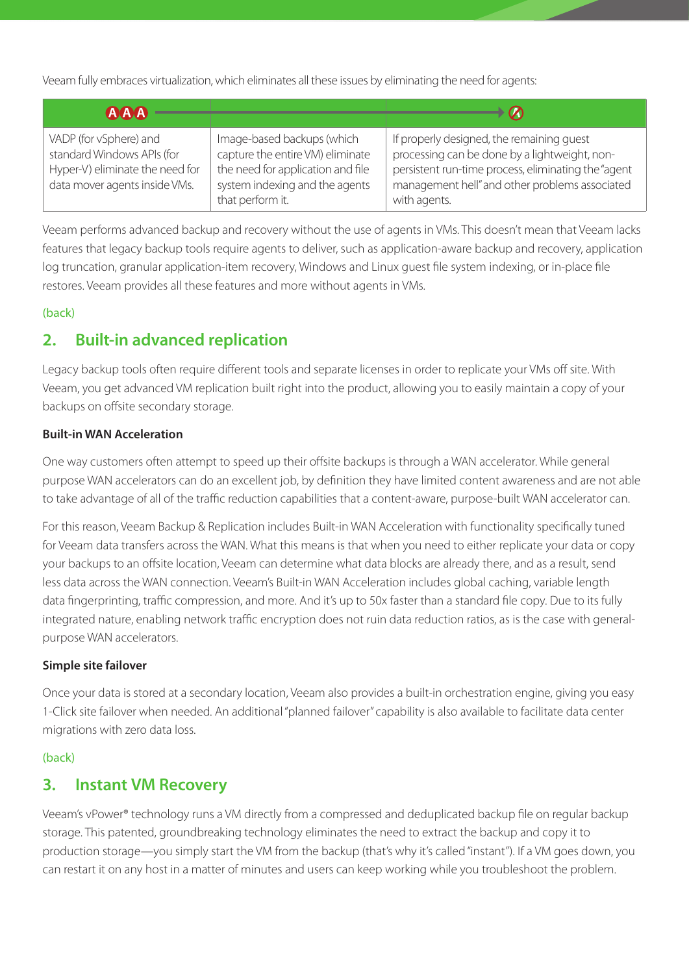Veeam fully embraces virtualization, which eliminates all these issues by eliminating the need for agents:

| <b>AAA</b>                                                                                                               |                                                                                                                                                           | $\boldsymbol{\varnothing}$                                                                                                                                                                                          |
|--------------------------------------------------------------------------------------------------------------------------|-----------------------------------------------------------------------------------------------------------------------------------------------------------|---------------------------------------------------------------------------------------------------------------------------------------------------------------------------------------------------------------------|
| VADP (for vSphere) and<br>standard Windows APIs (for<br>Hyper-V) eliminate the need for<br>data mover agents inside VMs. | Image-based backups (which<br>capture the entire VM) eliminate<br>the need for application and file<br>system indexing and the agents<br>that perform it. | If properly designed, the remaining quest<br>processing can be done by a lightweight, non-<br>persistent run-time process, eliminating the "agent<br>management hell" and other problems associated<br>with agents. |

Veeam performs advanced backup and recovery without the use of agents in VMs. This doesn't mean that Veeam lacks features that legacy backup tools require agents to deliver, such as application-aware backup and recovery, application log truncation, granular application-item recovery, Windows and Linux guest file system indexing, or in-place file restores. Veeam provides all these features and more without agents in VMs.

#### [\(back\)](#page-2-1)

## <span id="page-3-0"></span>**2. Built-in advanced replication**

Legacy backup tools often require different tools and separate licenses in order to replicate your VMs off site. With Veeam, you get advanced VM replication built right into the product, allowing you to easily maintain a copy of your backups on offsite secondary storage.

#### **Built-in WAN Acceleration**

One way customers often attempt to speed up their offsite backups is through a WAN accelerator. While general purpose WAN accelerators can do an excellent job, by definition they have limited content awareness and are not able to take advantage of all of the traffic reduction capabilities that a content-aware, purpose-built WAN accelerator can.

For this reason, Veeam Backup & Replication includes Built-in WAN Acceleration with functionality specifically tuned for Veeam data transfers across the WAN. What this means is that when you need to either replicate your data or copy your backups to an offsite location, Veeam can determine what data blocks are already there, and as a result, send less data across the WAN connection. Veeam's Built-in WAN Acceleration includes global caching, variable length data fingerprinting, traffic compression, and more. And it's up to 50x faster than a standard file copy. Due to its fully integrated nature, enabling network traffic encryption does not ruin data reduction ratios, as is the case with generalpurpose WAN accelerators.

#### **Simple site failover**

Once your data is stored at a secondary location, Veeam also provides a built-in orchestration engine, giving you easy 1-Click site failover when needed. An additional "planned failover" capability is also available to facilitate data center migrations with zero data loss.

#### [\(back\)](#page-2-1)

## <span id="page-3-1"></span>**3. Instant VM Recovery**

Veeam's vPower® technology runs a VM directly from a compressed and deduplicated backup file on regular backup storage. This patented, groundbreaking technology eliminates the need to extract the backup and copy it to production storage—you simply start the VM from the backup (that's why it's called "instant"). If a VM goes down, you can restart it on any host in a matter of minutes and users can keep working while you troubleshoot the problem.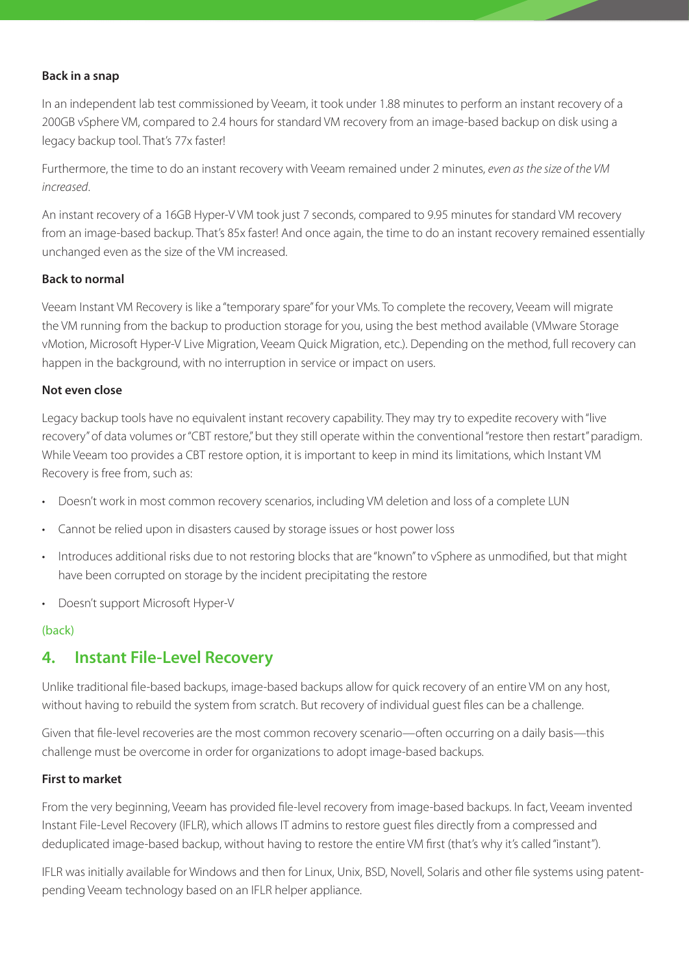#### **Back in a snap**

In an independent lab test commissioned by Veeam, it took under 1.88 minutes to perform an instant recovery of a 200GB vSphere VM, compared to 2.4 hours for standard VM recovery from an image-based backup on disk using a legacy backup tool. That's 77x faster!

Furthermore, the time to do an instant recovery with Veeam remained under 2 minutes, *even as the size of the VM increased*.

An instant recovery of a 16GB Hyper-V VM took just 7 seconds, compared to 9.95 minutes for standard VM recovery from an image-based backup. That's 85x faster! And once again, the time to do an instant recovery remained essentially unchanged even as the size of the VM increased.

#### **Back to normal**

Veeam Instant VM Recovery is like a "temporary spare" for your VMs. To complete the recovery, Veeam will migrate the VM running from the backup to production storage for you, using the best method available (VMware Storage vMotion, Microsoft Hyper-V Live Migration, Veeam Quick Migration, etc.). Depending on the method, full recovery can happen in the background, with no interruption in service or impact on users.

#### **Not even close**

Legacy backup tools have no equivalent instant recovery capability. They may try to expedite recovery with "live recovery" of data volumes or "CBT restore," but they still operate within the conventional "restore then restart" paradigm. While Veeam too provides a CBT restore option, it is important to keep in mind its limitations, which Instant VM Recovery is free from, such as:

- Doesn't work in most common recovery scenarios, including VM deletion and loss of a complete LUN
- Cannot be relied upon in disasters caused by storage issues or host power loss
- Introduces additional risks due to not restoring blocks that are "known" to vSphere as unmodified, but that might have been corrupted on storage by the incident precipitating the restore
- • Doesn't support Microsoft Hyper-V

#### [\(back\)](#page-2-1)

## <span id="page-4-0"></span>**4. Instant File-Level Recovery**

Unlike traditional file-based backups, image-based backups allow for quick recovery of an entire VM on any host, without having to rebuild the system from scratch. But recovery of individual guest files can be a challenge.

Given that file-level recoveries are the most common recovery scenario—often occurring on a daily basis—this challenge must be overcome in order for organizations to adopt image-based backups.

#### **First to market**

From the very beginning, Veeam has provided file-level recovery from image-based backups. In fact, Veeam invented Instant File-Level Recovery (IFLR), which allows IT admins to restore guest files directly from a compressed and deduplicated image-based backup, without having to restore the entire VM first (that's why it's called "instant").

IFLR was initially available for Windows and then for Linux, Unix, BSD, Novell, Solaris and other file systems using patentpending Veeam technology based on an IFLR helper appliance.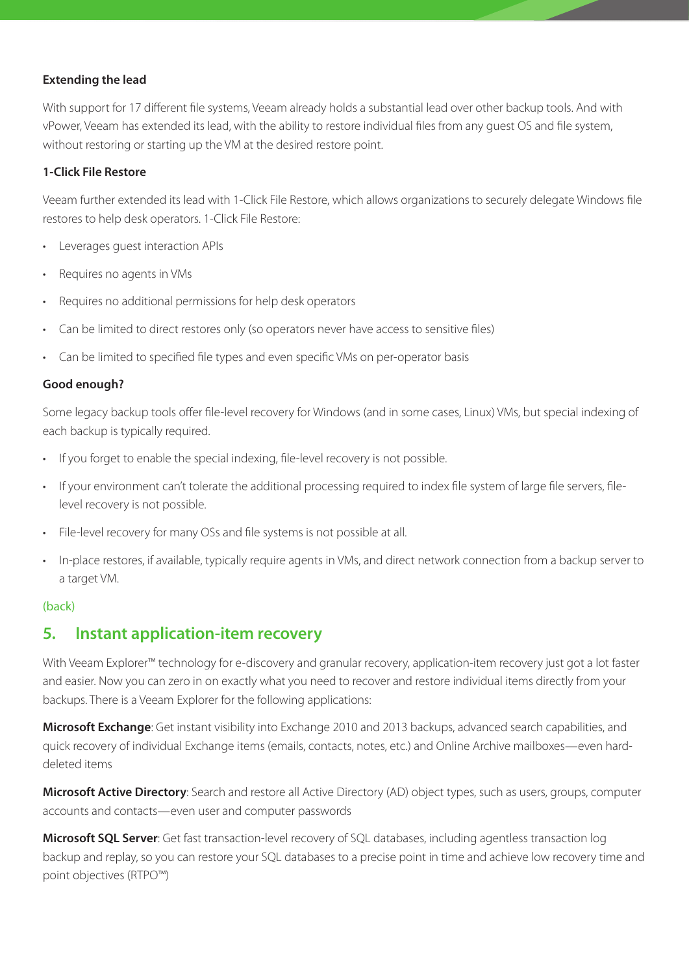#### **Extending the lead**

With support for 17 different file systems, Veeam already holds a substantial lead over other backup tools. And with vPower, Veeam has extended its lead, with the ability to restore individual files from any guest OS and file system, without restoring or starting up the VM at the desired restore point.

#### **1-Click File Restore**

Veeam further extended its lead with 1-Click File Restore, which allows organizations to securely delegate Windows file restores to help desk operators. 1-Click File Restore:

- Leverages guest interaction APIs
- Requires no agents in VMs
- Requires no additional permissions for help desk operators
- Can be limited to direct restores only (so operators never have access to sensitive files)
- Can be limited to specified file types and even specific VMs on per-operator basis

#### **Good enough?**

Some legacy backup tools offer file-level recovery for Windows (and in some cases, Linux) VMs, but special indexing of each backup is typically required.

- If you forget to enable the special indexing, file-level recovery is not possible.
- If your environment can't tolerate the additional processing required to index file system of large file servers, filelevel recovery is not possible.
- File-level recovery for many OSs and file systems is not possible at all.
- • In-place restores, if available, typically require agents in VMs, and direct network connection from a backup server to a target VM.

#### [\(back\)](#page-2-1)

### <span id="page-5-0"></span>**5. Instant application-item recovery**

With Veeam Explorer™ technology for e-discovery and granular recovery, application-item recovery just got a lot faster and easier. Now you can zero in on exactly what you need to recover and restore individual items directly from your backups. There is a Veeam Explorer for the following applications:

**Microsoft Exchange**: Get instant visibility into Exchange 2010 and 2013 backups, advanced search capabilities, and quick recovery of individual Exchange items (emails, contacts, notes, etc.) and Online Archive mailboxes—even harddeleted items

**Microsoft Active Directory**: Search and restore all Active Directory (AD) object types, such as users, groups, computer accounts and contacts—even user and computer passwords

**Microsoft SQL Server**: Get fast transaction-level recovery of SQL databases, including agentless transaction log backup and replay, so you can restore your SQL databases to a precise point in time and achieve low recovery time and point objectives (RTPO™)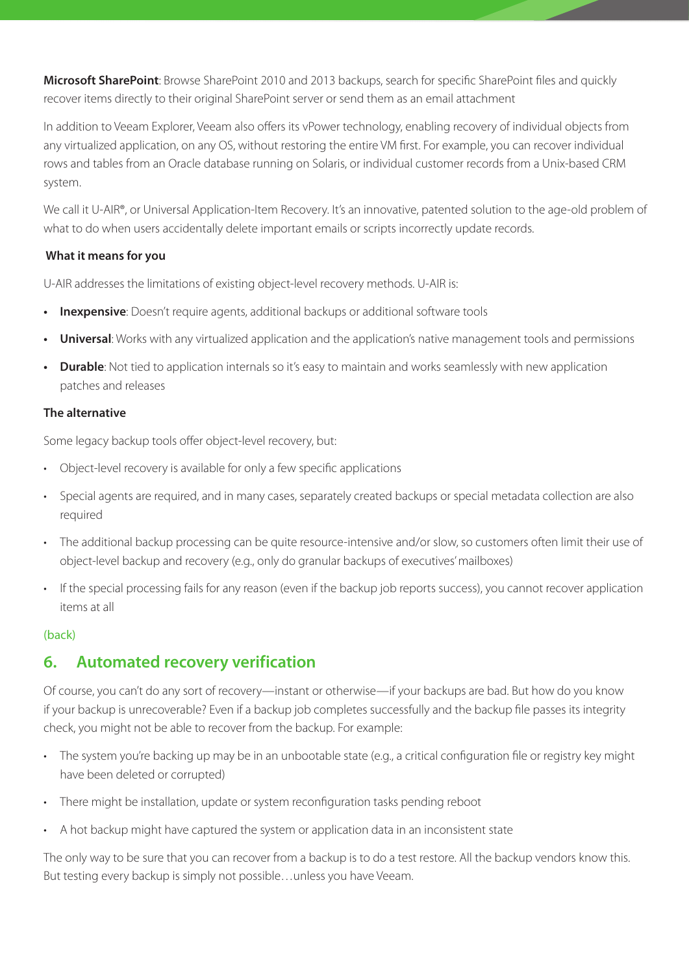**Microsoft SharePoint**: Browse SharePoint 2010 and 2013 backups, search for specific SharePoint files and quickly recover items directly to their original SharePoint server or send them as an email attachment

In addition to Veeam Explorer, Veeam also offers its vPower technology, enabling recovery of individual objects from any virtualized application, on any OS, without restoring the entire VM first. For example, you can recover individual rows and tables from an Oracle database running on Solaris, or individual customer records from a Unix-based CRM system.

We call it U-AIR®, or Universal Application-Item Recovery. It's an innovative, patented solution to the age-old problem of what to do when users accidentally delete important emails or scripts incorrectly update records.

#### **What it means for you**

U-AIR addresses the limitations of existing object-level recovery methods. U-AIR is:

- **Inexpensive**: Doesn't require agents, additional backups or additional software tools
- Universal: Works with any virtualized application and the application's native management tools and permissions
- **• Durable**: Not tied to application internals so it's easy to maintain and works seamlessly with new application patches and releases

#### **The alternative**

Some legacy backup tools offer object-level recovery, but:

- Object-level recovery is available for only a few specific applications
- Special agents are required, and in many cases, separately created backups or special metadata collection are also required
- • The additional backup processing can be quite resource-intensive and/or slow, so customers often limit their use of object-level backup and recovery (e.g., only do granular backups of executives' mailboxes)
- If the special processing fails for any reason (even if the backup job reports success), you cannot recover application items at all

#### [\(back\)](#page-2-1)

## <span id="page-6-0"></span>**6. Automated recovery verification**

Of course, you can't do any sort of recovery—instant or otherwise—if your backups are bad. But how do you know if your backup is unrecoverable? Even if a backup job completes successfully and the backup file passes its integrity check, you might not be able to recover from the backup. For example:

- The system you're backing up may be in an unbootable state (e.g., a critical configuration file or registry key might have been deleted or corrupted)
- There might be installation, update or system reconfiguration tasks pending reboot
- A hot backup might have captured the system or application data in an inconsistent state

The only way to be sure that you can recover from a backup is to do a test restore. All the backup vendors know this. But testing every backup is simply not possible…unless you have Veeam.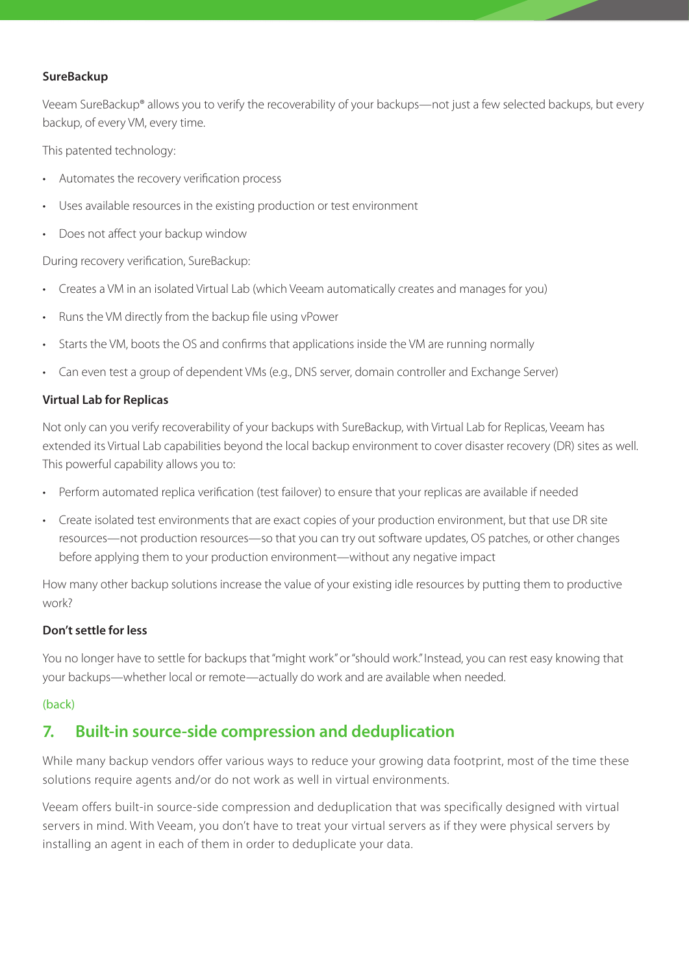#### **SureBackup**

Veeam SureBackup® allows you to verify the recoverability of your backups—not just a few selected backups, but every backup, of every VM, every time.

This patented technology:

- Automates the recovery verification process
- Uses available resources in the existing production or test environment
- Does not affect your backup window

During recovery verification, SureBackup:

- Creates a VM in an isolated Virtual Lab (which Veeam automatically creates and manages for you)
- Runs the VM directly from the backup file using vPower
- Starts the VM, boots the OS and confirms that applications inside the VM are running normally
- Can even test a group of dependent VMs (e.g., DNS server, domain controller and Exchange Server)

#### **Virtual Lab for Replicas**

Not only can you verify recoverability of your backups with SureBackup, with Virtual Lab for Replicas, Veeam has extended its Virtual Lab capabilities beyond the local backup environment to cover disaster recovery (DR) sites as well. This powerful capability allows you to:

- Perform automated replica verification (test failover) to ensure that your replicas are available if needed
- Create isolated test environments that are exact copies of your production environment, but that use DR site resources—not production resources—so that you can try out software updates, OS patches, or other changes before applying them to your production environment—without any negative impact

How many other backup solutions increase the value of your existing idle resources by putting them to productive work?

#### **Don't settle for less**

You no longer have to settle for backups that "might work" or "should work." Instead, you can rest easy knowing that your backups—whether local or remote—actually do work and are available when needed.

#### [\(back\)](#page-2-1)

## <span id="page-7-0"></span>**7. Built-in source-side compression and deduplication**

While many backup vendors offer various ways to reduce your growing data footprint, most of the time these solutions require agents and/or do not work as well in virtual environments.

Veeam offers built-in source-side compression and deduplication that was specifically designed with virtual servers in mind. With Veeam, you don't have to treat your virtual servers as if they were physical servers by installing an agent in each of them in order to deduplicate your data.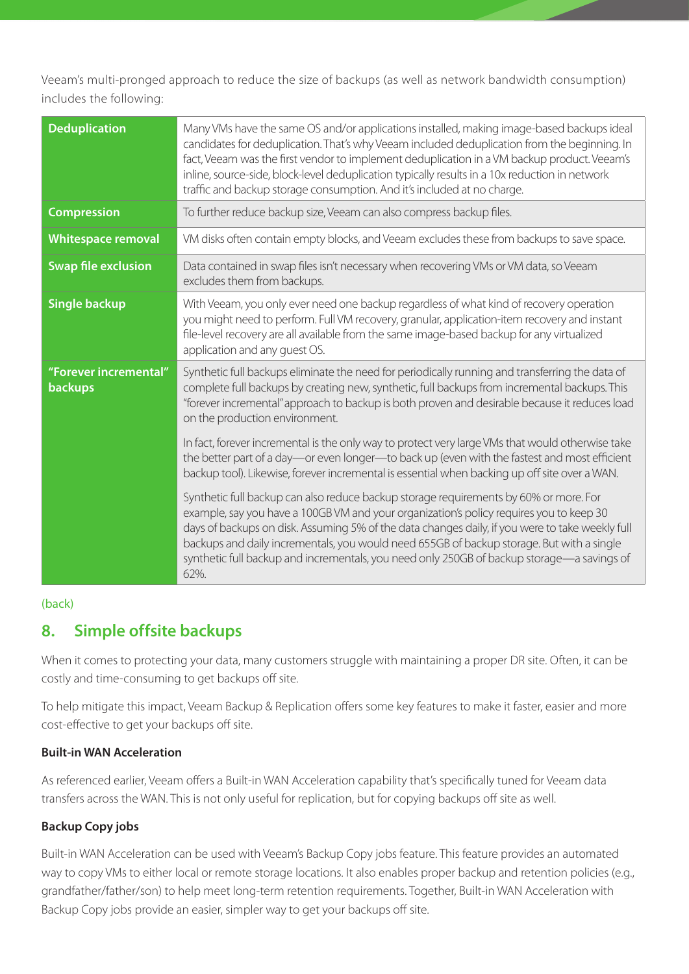Veeam's multi-pronged approach to reduce the size of backups (as well as network bandwidth consumption) includes the following:

| <b>Deduplication</b>                    | Many VMs have the same OS and/or applications installed, making image-based backups ideal<br>candidates for deduplication. That's why Veeam included deduplication from the beginning. In<br>fact, Veeam was the first vendor to implement deduplication in a VM backup product. Veeam's<br>inline, source-side, block-level deduplication typically results in a 10x reduction in network<br>traffic and backup storage consumption. And it's included at no charge.                  |
|-----------------------------------------|----------------------------------------------------------------------------------------------------------------------------------------------------------------------------------------------------------------------------------------------------------------------------------------------------------------------------------------------------------------------------------------------------------------------------------------------------------------------------------------|
| <b>Compression</b>                      | To further reduce backup size, Veeam can also compress backup files.                                                                                                                                                                                                                                                                                                                                                                                                                   |
| <b>Whitespace removal</b>               | VM disks often contain empty blocks, and Veeam excludes these from backups to save space.                                                                                                                                                                                                                                                                                                                                                                                              |
| <b>Swap file exclusion</b>              | Data contained in swap files isn't necessary when recovering VMs or VM data, so Veeam<br>excludes them from backups.                                                                                                                                                                                                                                                                                                                                                                   |
| <b>Single backup</b>                    | With Veeam, you only ever need one backup regardless of what kind of recovery operation<br>you might need to perform. Full VM recovery, granular, application-item recovery and instant<br>file-level recovery are all available from the same image-based backup for any virtualized<br>application and any quest OS.                                                                                                                                                                 |
| "Forever incremental"<br><b>backups</b> | Synthetic full backups eliminate the need for periodically running and transferring the data of<br>complete full backups by creating new, synthetic, full backups from incremental backups. This<br>"forever incremental" approach to backup is both proven and desirable because it reduces load<br>on the production environment.                                                                                                                                                    |
|                                         | In fact, forever incremental is the only way to protect very large VMs that would otherwise take<br>the better part of a day-or even longer-to back up (even with the fastest and most efficient<br>backup tool). Likewise, forever incremental is essential when backing up off site over a WAN.                                                                                                                                                                                      |
|                                         | Synthetic full backup can also reduce backup storage requirements by 60% or more. For<br>example, say you have a 100GB VM and your organization's policy requires you to keep 30<br>days of backups on disk. Assuming 5% of the data changes daily, if you were to take weekly full<br>backups and daily incrementals, you would need 655GB of backup storage. But with a single<br>synthetic full backup and incrementals, you need only 250GB of backup storage-a savings of<br>62%. |

#### [\(back\)](#page-2-1)

## <span id="page-8-0"></span>**8. Simple offsite backups**

When it comes to protecting your data, many customers struggle with maintaining a proper DR site. Often, it can be costly and time-consuming to get backups off site.

To help mitigate this impact, Veeam Backup & Replication offers some key features to make it faster, easier and more cost-effective to get your backups off site.

#### **Built-in WAN Acceleration**

As referenced earlier, Veeam offers a Built-in WAN Acceleration capability that's specifically tuned for Veeam data transfers across the WAN. This is not only useful for replication, but for copying backups off site as well.

#### **Backup Copy jobs**

Built-in WAN Acceleration can be used with Veeam's Backup Copy jobs feature. This feature provides an automated way to copy VMs to either local or remote storage locations. It also enables proper backup and retention policies (e.g., grandfather/father/son) to help meet long-term retention requirements. Together, Built-in WAN Acceleration with Backup Copy jobs provide an easier, simpler way to get your backups off site.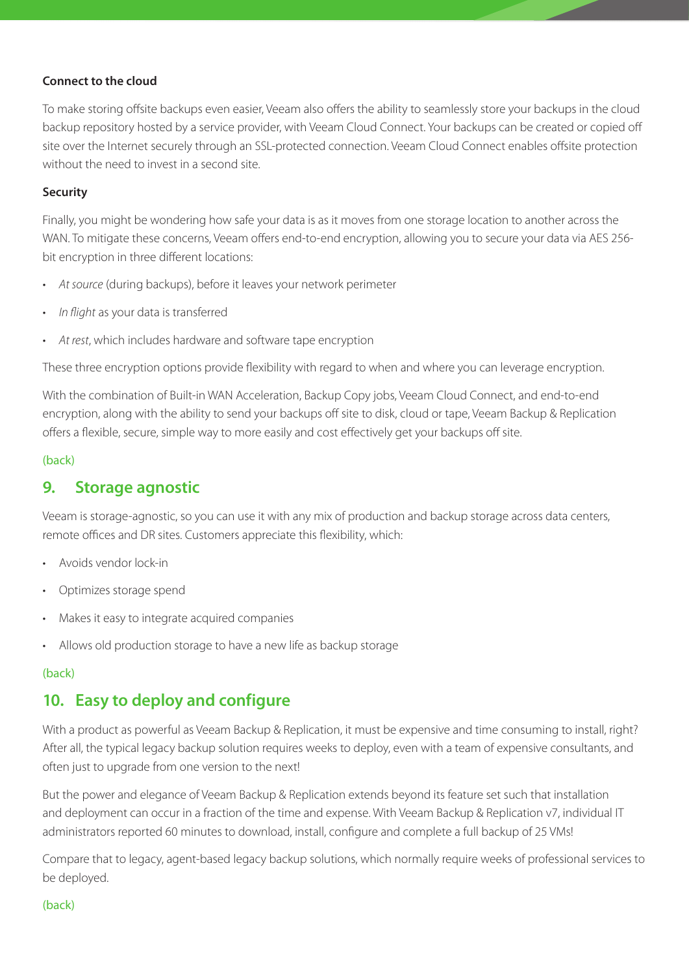#### **Connect to the cloud**

To make storing offsite backups even easier, Veeam also offers the ability to seamlessly store your backups in the cloud backup repository hosted by a service provider, with Veeam Cloud Connect. Your backups can be created or copied off site over the Internet securely through an SSL-protected connection. Veeam Cloud Connect enables offsite protection without the need to invest in a second site.

#### **Security**

Finally, you might be wondering how safe your data is as it moves from one storage location to another across the WAN. To mitigate these concerns, Veeam offers end-to-end encryption, allowing you to secure your data via AES 256 bit encryption in three different locations:

- At source (during backups), before it leaves your network perimeter
- In flight as your data is transferred
- At rest, which includes hardware and software tape encryption

These three encryption options provide flexibility with regard to when and where you can leverage encryption.

With the combination of Built-in WAN Acceleration, Backup Copy jobs, Veeam Cloud Connect, and end-to-end encryption, along with the ability to send your backups off site to disk, cloud or tape, Veeam Backup & Replication offers a flexible, secure, simple way to more easily and cost effectively get your backups off site.

#### [\(back\)](#page-2-1)

## <span id="page-9-0"></span>**9. Storage agnostic**

Veeam is storage-agnostic, so you can use it with any mix of production and backup storage across data centers, remote offices and DR sites. Customers appreciate this flexibility, which:

- Avoids vendor lock-in
- Optimizes storage spend
- Makes it easy to integrate acquired companies
- Allows old production storage to have a new life as backup storage

#### [\(back\)](#page-2-1)

## <span id="page-9-1"></span>**10. Easy to deploy and configure**

With a product as powerful as Veeam Backup & Replication, it must be expensive and time consuming to install, right? After all, the typical legacy backup solution requires weeks to deploy, even with a team of expensive consultants, and often just to upgrade from one version to the next!

But the power and elegance of Veeam Backup & Replication extends beyond its feature set such that installation and deployment can occur in a fraction of the time and expense. With Veeam Backup & Replication v7, individual IT administrators reported 60 minutes to download, install, configure and complete a full backup of 25 VMs!

Compare that to legacy, agent-based legacy backup solutions, which normally require weeks of professional services to be deployed.

#### [\(back\)](#page-2-1)